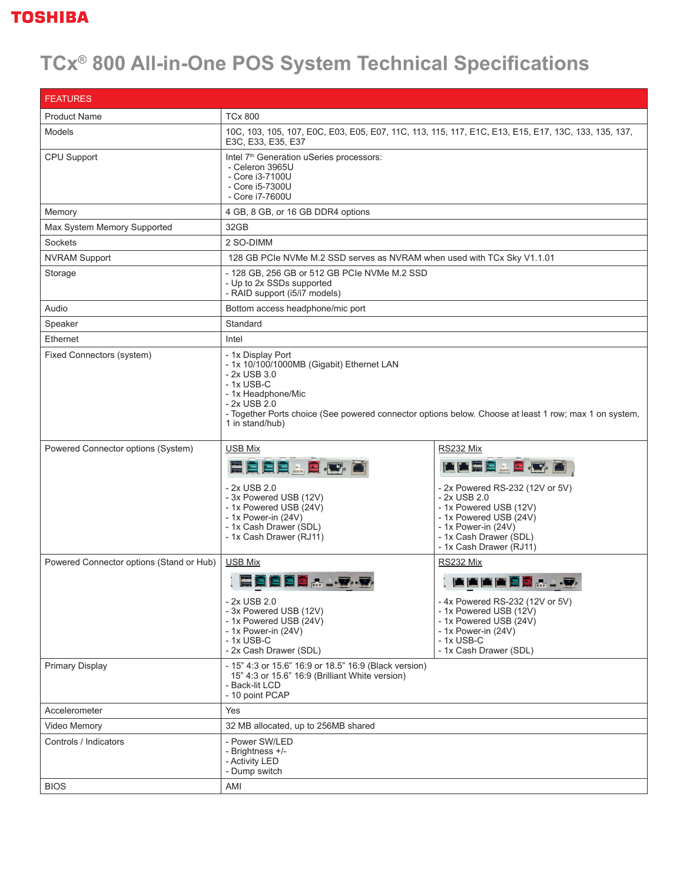## **TOSHIBA**

## **TCx® 800 All-in-One POS System Technical Specifications**

| <b>FEATURES</b>                          |                                                                                                                                                                                                                                                                 |                                                                                                                                                                                                             |  |  |
|------------------------------------------|-----------------------------------------------------------------------------------------------------------------------------------------------------------------------------------------------------------------------------------------------------------------|-------------------------------------------------------------------------------------------------------------------------------------------------------------------------------------------------------------|--|--|
| <b>Product Name</b>                      | <b>TCx 800</b>                                                                                                                                                                                                                                                  |                                                                                                                                                                                                             |  |  |
| <b>Models</b>                            | 10C, 103, 105, 107, EOC, E03, E05, E07, 11C, 113, 115, 117, E1C, E13, E15, E17, 13C, 133, 135, 137,<br>E3C, E33, E35, E37                                                                                                                                       |                                                                                                                                                                                                             |  |  |
| CPU Support                              | Intel 7 <sup>th</sup> Generation uSeries processors:<br>- Celeron 3965U<br>- Core i3-7100U<br>- Core i5-7300U<br>- Core i7-7600U                                                                                                                                |                                                                                                                                                                                                             |  |  |
| Memory                                   | 4 GB, 8 GB, or 16 GB DDR4 options                                                                                                                                                                                                                               |                                                                                                                                                                                                             |  |  |
| Max System Memory Supported              | 32GB                                                                                                                                                                                                                                                            |                                                                                                                                                                                                             |  |  |
| Sockets                                  | 2 SO-DIMM                                                                                                                                                                                                                                                       |                                                                                                                                                                                                             |  |  |
| <b>NVRAM Support</b>                     | 128 GB PCIe NVMe M.2 SSD serves as NVRAM when used with TCx Sky V1.1.01                                                                                                                                                                                         |                                                                                                                                                                                                             |  |  |
| Storage                                  | - 128 GB, 256 GB or 512 GB PCIe NVMe M.2 SSD<br>- Up to 2x SSDs supported<br>- RAID support (i5/i7 models)                                                                                                                                                      |                                                                                                                                                                                                             |  |  |
| Audio                                    | Bottom access headphone/mic port                                                                                                                                                                                                                                |                                                                                                                                                                                                             |  |  |
| Speaker                                  | Standard                                                                                                                                                                                                                                                        |                                                                                                                                                                                                             |  |  |
| Ethernet                                 | Intel                                                                                                                                                                                                                                                           |                                                                                                                                                                                                             |  |  |
| Fixed Connectors (system)                | - 1x Display Port<br>- 1x 10/100/1000MB (Gigabit) Ethernet LAN<br>- 2x USB 3.0<br>$-1x$ USB-C<br>- 1x Headphone/Mic<br>- 2x USB 2.0<br>- Together Ports choice (See powered connector options below. Choose at least 1 row; max 1 on system,<br>1 in stand/hub) |                                                                                                                                                                                                             |  |  |
| Powered Connector options (System)       | <b>USB Mix</b><br>E B B B & B B<br>- 2x USB 2.0<br>- 3x Powered USB (12V)<br>- 1x Powered USB (24V)<br>- 1x Power-in (24V)<br>- 1x Cash Drawer (SDL)<br>- 1x Cash Drawer (RJ11)                                                                                 | RS232 Mix<br>■■国真品質 图 ●<br>- 2x Powered RS-232 (12V or 5V)<br>$-2x$ USB 2.0<br>- 1x Powered USB (12V)<br>- 1x Powered USB (24V)<br>- 1x Power-in (24V)<br>- 1x Cash Drawer (SDL)<br>- 1x Cash Drawer (RJ11) |  |  |
| Powered Connector options (Stand or Hub) | <b>USB Mix</b><br>2 8 8 9 A<br>- 2x USB 2.0<br>- 3x Powered USB (12V)<br>- 1x Powered USB (24V)<br>- 1x Power-in (24V)<br>$-1x$ USB-C<br>- 2x Cash Drawer (SDL)                                                                                                 | RS232 Mix<br><b>AAAAADAD</b><br>- 4x Powered RS-232 (12V or 5V)<br>- 1x Powered USB (12V)<br>- 1x Powered USB (24V)<br>- $1x$ Power-in $(24V)$<br>$-1x$ USB-C<br>- 1x Cash Drawer (SDL)                     |  |  |
| <b>Primary Display</b>                   | - 15" 4:3 or 15.6" 16:9 or 18.5" 16:9 (Black version)<br>15" 4:3 or 15.6" 16:9 (Brilliant White version)<br>- Back-lit LCD<br>- 10 point PCAP                                                                                                                   |                                                                                                                                                                                                             |  |  |
| Accelerometer                            | Yes                                                                                                                                                                                                                                                             |                                                                                                                                                                                                             |  |  |
| Video Memory                             | 32 MB allocated, up to 256MB shared                                                                                                                                                                                                                             |                                                                                                                                                                                                             |  |  |
| Controls / Indicators                    | - Power SW/LED<br>- Brightness +/-<br>- Activity LED<br>- Dump switch                                                                                                                                                                                           |                                                                                                                                                                                                             |  |  |
| <b>BIOS</b>                              | AMI                                                                                                                                                                                                                                                             |                                                                                                                                                                                                             |  |  |